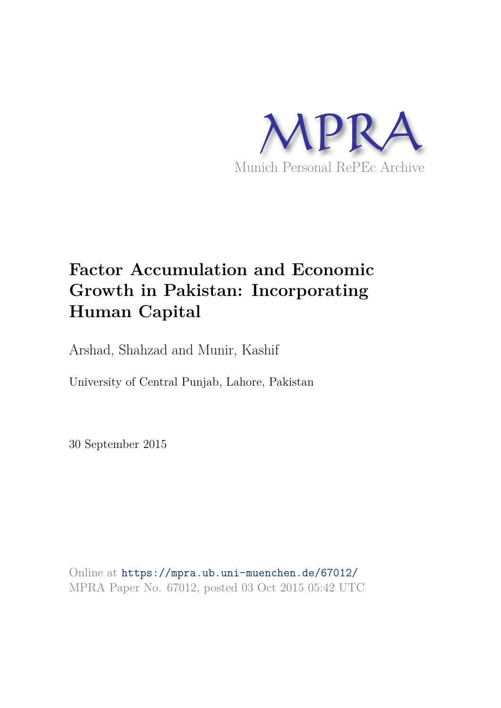

# **Factor Accumulation and Economic Growth in Pakistan: Incorporating Human Capital**

Arshad, Shahzad and Munir, Kashif

University of Central Punjab, Lahore, Pakistan

30 September 2015

Online at https://mpra.ub.uni-muenchen.de/67012/ MPRA Paper No. 67012, posted 03 Oct 2015 05:42 UTC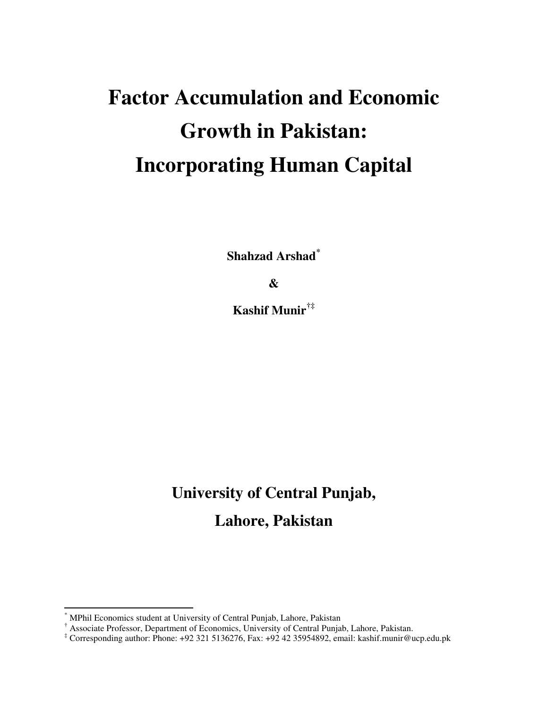# **Factor Accumulation and Economic Growth in Pakistan: Incorporating Human Capital**

**Shahzad Arshad[\\*](#page-1-0)**

**&** 

**Kashif Munir[†](#page-1-1)[‡](#page-1-2)**

# **University of Central Punjab,**

**Lahore, Pakistan**

 $\overline{a}$ 

<span id="page-1-0"></span><sup>\*</sup> MPhil Economics student at University of Central Punjab, Lahore, Pakistan

<span id="page-1-1"></span><sup>&</sup>lt;sup>†</sup> Associate Professor, Department of Economics, University of Central Punjab, Lahore, Pakistan.

<span id="page-1-2"></span><sup>‡</sup> Corresponding author: Phone: +92 321 5136276, Fax: +92 42 35954892, email: kashif.munir@ucp.edu.pk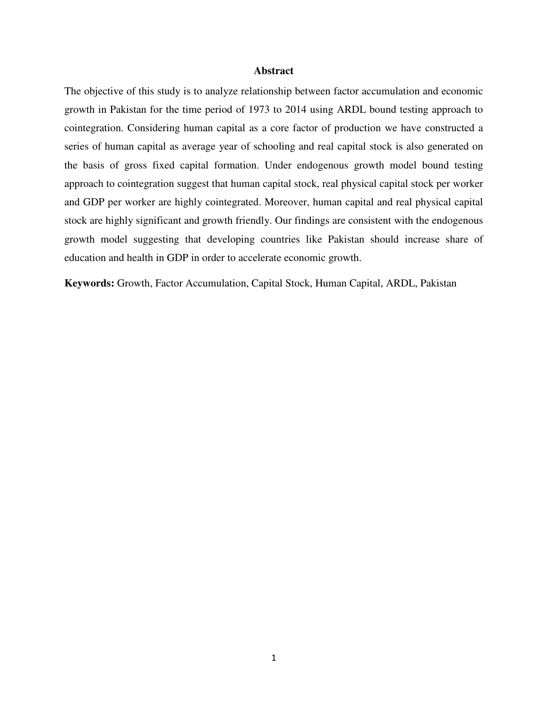#### **Abstract**

The objective of this study is to analyze relationship between factor accumulation and economic growth in Pakistan for the time period of 1973 to 2014 using ARDL bound testing approach to cointegration. Considering human capital as a core factor of production we have constructed a series of human capital as average year of schooling and real capital stock is also generated on the basis of gross fixed capital formation. Under endogenous growth model bound testing approach to cointegration suggest that human capital stock, real physical capital stock per worker and GDP per worker are highly cointegrated. Moreover, human capital and real physical capital stock are highly significant and growth friendly. Our findings are consistent with the endogenous growth model suggesting that developing countries like Pakistan should increase share of education and health in GDP in order to accelerate economic growth.

**Keywords:** Growth, Factor Accumulation, Capital Stock, Human Capital, ARDL, Pakistan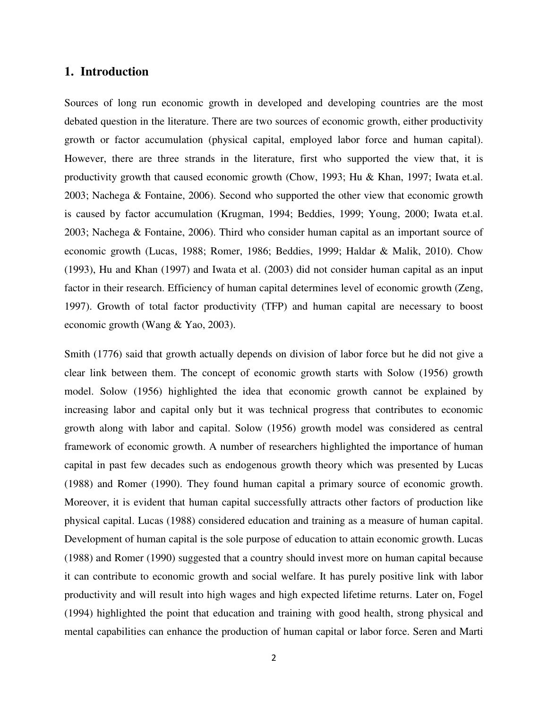# **1. Introduction**

Sources of long run economic growth in developed and developing countries are the most debated question in the literature. There are two sources of economic growth, either productivity growth or factor accumulation (physical capital, employed labor force and human capital). However, there are three strands in the literature, first who supported the view that, it is productivity growth that caused economic growth (Chow, 1993; Hu & Khan, 1997; Iwata et.al. 2003; Nachega & Fontaine, 2006). Second who supported the other view that economic growth is caused by factor accumulation (Krugman, 1994; Beddies, 1999; Young, 2000; Iwata et.al. 2003; Nachega & Fontaine, 2006). Third who consider human capital as an important source of economic growth (Lucas, 1988; Romer, 1986; Beddies, 1999; Haldar & Malik, 2010). Chow (1993), Hu and Khan (1997) and Iwata et al. (2003) did not consider human capital as an input factor in their research. Efficiency of human capital determines level of economic growth (Zeng, 1997). Growth of total factor productivity (TFP) and human capital are necessary to boost economic growth (Wang & Yao, 2003).

Smith (1776) said that growth actually depends on division of labor force but he did not give a clear link between them. The concept of economic growth starts with Solow (1956) growth model. Solow (1956) highlighted the idea that economic growth cannot be explained by increasing labor and capital only but it was technical progress that contributes to economic growth along with labor and capital. Solow (1956) growth model was considered as central framework of economic growth. A number of researchers highlighted the importance of human capital in past few decades such as endogenous growth theory which was presented by Lucas (1988) and Romer (1990). They found human capital a primary source of economic growth. Moreover, it is evident that human capital successfully attracts other factors of production like physical capital. Lucas (1988) considered education and training as a measure of human capital. Development of human capital is the sole purpose of education to attain economic growth. Lucas (1988) and Romer (1990) suggested that a country should invest more on human capital because it can contribute to economic growth and social welfare. It has purely positive link with labor productivity and will result into high wages and high expected lifetime returns. Later on, Fogel (1994) highlighted the point that education and training with good health, strong physical and mental capabilities can enhance the production of human capital or labor force. Seren and Marti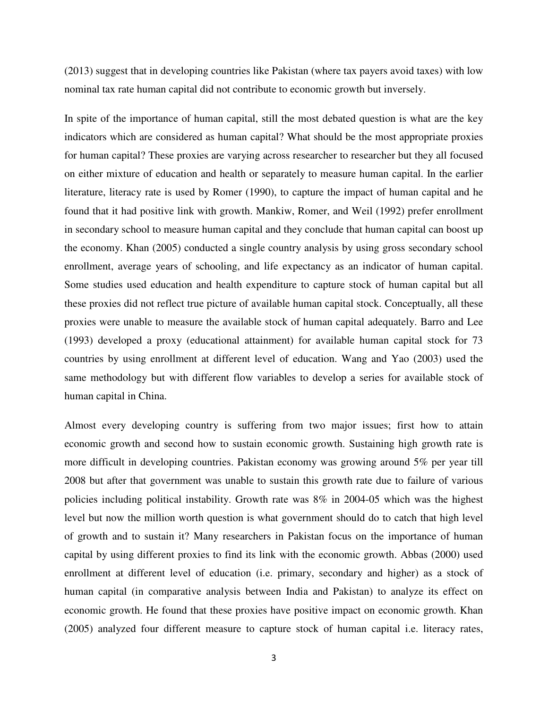(2013) suggest that in developing countries like Pakistan (where tax payers avoid taxes) with low nominal tax rate human capital did not contribute to economic growth but inversely.

In spite of the importance of human capital, still the most debated question is what are the key indicators which are considered as human capital? What should be the most appropriate proxies for human capital? These proxies are varying across researcher to researcher but they all focused on either mixture of education and health or separately to measure human capital. In the earlier literature, literacy rate is used by Romer (1990), to capture the impact of human capital and he found that it had positive link with growth. Mankiw, Romer, and Weil (1992) prefer enrollment in secondary school to measure human capital and they conclude that human capital can boost up the economy. Khan (2005) conducted a single country analysis by using gross secondary school enrollment, average years of schooling, and life expectancy as an indicator of human capital. Some studies used education and health expenditure to capture stock of human capital but all these proxies did not reflect true picture of available human capital stock. Conceptually, all these proxies were unable to measure the available stock of human capital adequately. Barro and Lee (1993) developed a proxy (educational attainment) for available human capital stock for 73 countries by using enrollment at different level of education. Wang and Yao (2003) used the same methodology but with different flow variables to develop a series for available stock of human capital in China.

Almost every developing country is suffering from two major issues; first how to attain economic growth and second how to sustain economic growth. Sustaining high growth rate is more difficult in developing countries. Pakistan economy was growing around 5% per year till 2008 but after that government was unable to sustain this growth rate due to failure of various policies including political instability. Growth rate was 8% in 2004-05 which was the highest level but now the million worth question is what government should do to catch that high level of growth and to sustain it? Many researchers in Pakistan focus on the importance of human capital by using different proxies to find its link with the economic growth. Abbas (2000) used enrollment at different level of education (i.e. primary, secondary and higher) as a stock of human capital (in comparative analysis between India and Pakistan) to analyze its effect on economic growth. He found that these proxies have positive impact on economic growth. Khan (2005) analyzed four different measure to capture stock of human capital i.e. literacy rates,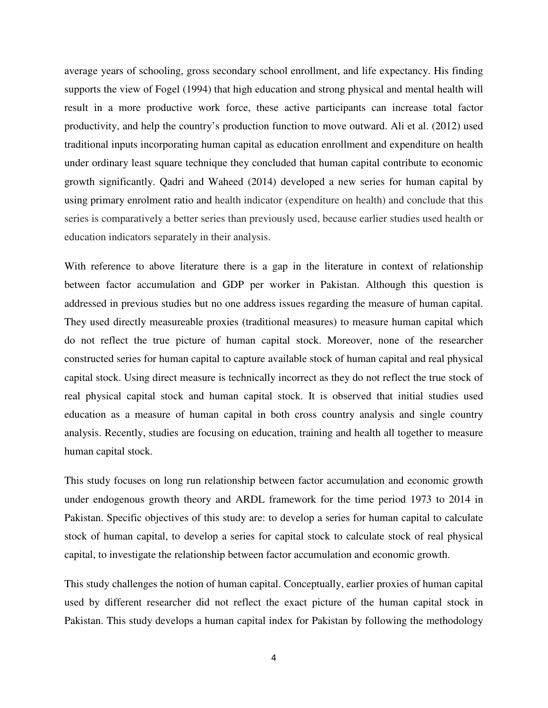average years of schooling, gross secondary school enrollment, and life expectancy. His finding supports the view of Fogel (1994) that high education and strong physical and mental health will result in a more productive work force, these active participants can increase total factor productivity, and help the country's production function to move outward. Ali et al. (2012) used traditional inputs incorporating human capital as education enrollment and expenditure on health under ordinary least square technique they concluded that human capital contribute to economic growth significantly. Qadri and Waheed (2014) developed a new series for human capital by using primary enrolment ratio and health indicator (expenditure on health) and conclude that this series is comparatively a better series than previously used, because earlier studies used health or education indicators separately in their analysis.

With reference to above literature there is a gap in the literature in context of relationship between factor accumulation and GDP per worker in Pakistan. Although this question is addressed in previous studies but no one address issues regarding the measure of human capital. They used directly measureable proxies (traditional measures) to measure human capital which do not reflect the true picture of human capital stock. Moreover, none of the researcher constructed series for human capital to capture available stock of human capital and real physical capital stock. Using direct measure is technically incorrect as they do not reflect the true stock of real physical capital stock and human capital stock. It is observed that initial studies used education as a measure of human capital in both cross country analysis and single country analysis. Recently, studies are focusing on education, training and health all together to measure human capital stock.

This study focuses on long run relationship between factor accumulation and economic growth under endogenous growth theory and ARDL framework for the time period 1973 to 2014 in Pakistan. Specific objectives of this study are: to develop a series for human capital to calculate stock of human capital, to develop a series for capital stock to calculate stock of real physical capital, to investigate the relationship between factor accumulation and economic growth.

This study challenges the notion of human capital. Conceptually, earlier proxies of human capital used by different researcher did not reflect the exact picture of the human capital stock in Pakistan. This study develops a human capital index for Pakistan by following the methodology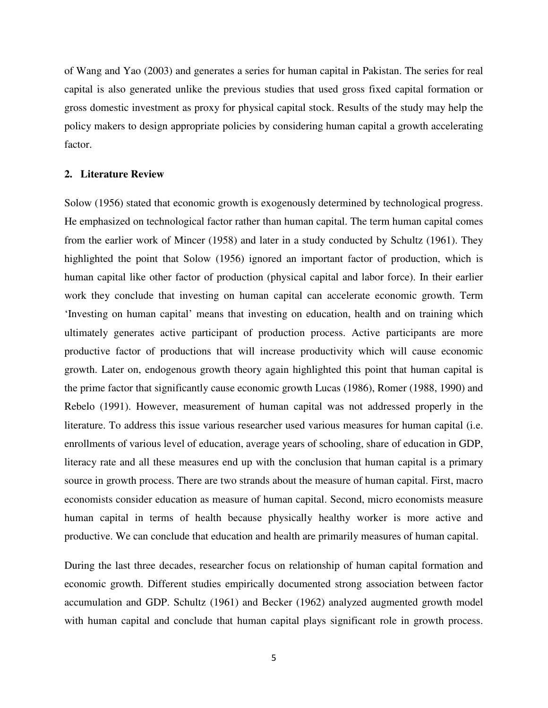of Wang and Yao (2003) and generates a series for human capital in Pakistan. The series for real capital is also generated unlike the previous studies that used gross fixed capital formation or gross domestic investment as proxy for physical capital stock. Results of the study may help the policy makers to design appropriate policies by considering human capital a growth accelerating factor.

#### **2. Literature Review**

Solow (1956) stated that economic growth is exogenously determined by technological progress. He emphasized on technological factor rather than human capital. The term human capital comes from the earlier work of Mincer (1958) and later in a study conducted by Schultz (1961). They highlighted the point that Solow (1956) ignored an important factor of production, which is human capital like other factor of production (physical capital and labor force). In their earlier work they conclude that investing on human capital can accelerate economic growth. Term 'Investing on human capital' means that investing on education, health and on training which ultimately generates active participant of production process. Active participants are more productive factor of productions that will increase productivity which will cause economic growth. Later on, endogenous growth theory again highlighted this point that human capital is the prime factor that significantly cause economic growth Lucas (1986), Romer (1988, 1990) and Rebelo (1991). However, measurement of human capital was not addressed properly in the literature. To address this issue various researcher used various measures for human capital (i.e. enrollments of various level of education, average years of schooling, share of education in GDP, literacy rate and all these measures end up with the conclusion that human capital is a primary source in growth process. There are two strands about the measure of human capital. First, macro economists consider education as measure of human capital. Second, micro economists measure human capital in terms of health because physically healthy worker is more active and productive. We can conclude that education and health are primarily measures of human capital.

During the last three decades, researcher focus on relationship of human capital formation and economic growth. Different studies empirically documented strong association between factor accumulation and GDP. Schultz (1961) and Becker (1962) analyzed augmented growth model with human capital and conclude that human capital plays significant role in growth process.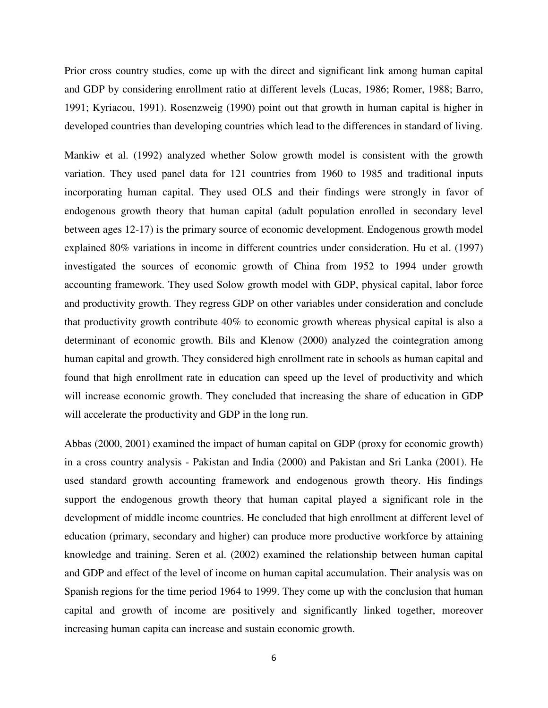Prior cross country studies, come up with the direct and significant link among human capital and GDP by considering enrollment ratio at different levels (Lucas, 1986; Romer, 1988; Barro, 1991; Kyriacou, 1991). Rosenzweig (1990) point out that growth in human capital is higher in developed countries than developing countries which lead to the differences in standard of living.

Mankiw et al. (1992) analyzed whether Solow growth model is consistent with the growth variation. They used panel data for 121 countries from 1960 to 1985 and traditional inputs incorporating human capital. They used OLS and their findings were strongly in favor of endogenous growth theory that human capital (adult population enrolled in secondary level between ages 12-17) is the primary source of economic development. Endogenous growth model explained 80% variations in income in different countries under consideration. Hu et al. (1997) investigated the sources of economic growth of China from 1952 to 1994 under growth accounting framework. They used Solow growth model with GDP, physical capital, labor force and productivity growth. They regress GDP on other variables under consideration and conclude that productivity growth contribute 40% to economic growth whereas physical capital is also a determinant of economic growth. Bils and Klenow (2000) analyzed the cointegration among human capital and growth. They considered high enrollment rate in schools as human capital and found that high enrollment rate in education can speed up the level of productivity and which will increase economic growth. They concluded that increasing the share of education in GDP will accelerate the productivity and GDP in the long run.

Abbas (2000, 2001) examined the impact of human capital on GDP (proxy for economic growth) in a cross country analysis - Pakistan and India (2000) and Pakistan and Sri Lanka (2001). He used standard growth accounting framework and endogenous growth theory. His findings support the endogenous growth theory that human capital played a significant role in the development of middle income countries. He concluded that high enrollment at different level of education (primary, secondary and higher) can produce more productive workforce by attaining knowledge and training. Seren et al. (2002) examined the relationship between human capital and GDP and effect of the level of income on human capital accumulation. Their analysis was on Spanish regions for the time period 1964 to 1999. They come up with the conclusion that human capital and growth of income are positively and significantly linked together, moreover increasing human capita can increase and sustain economic growth.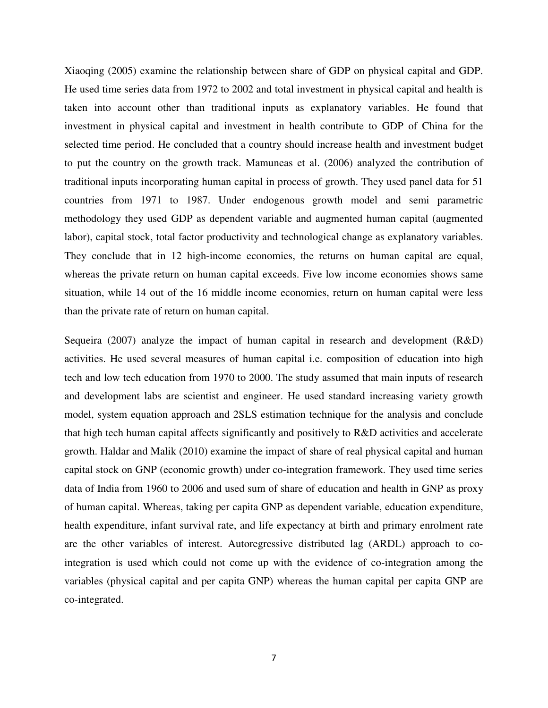Xiaoqing (2005) examine the relationship between share of GDP on physical capital and GDP. He used time series data from 1972 to 2002 and total investment in physical capital and health is taken into account other than traditional inputs as explanatory variables. He found that investment in physical capital and investment in health contribute to GDP of China for the selected time period. He concluded that a country should increase health and investment budget to put the country on the growth track. Mamuneas et al. (2006) analyzed the contribution of traditional inputs incorporating human capital in process of growth. They used panel data for 51 countries from 1971 to 1987. Under endogenous growth model and semi parametric methodology they used GDP as dependent variable and augmented human capital (augmented labor), capital stock, total factor productivity and technological change as explanatory variables. They conclude that in 12 high-income economies, the returns on human capital are equal, whereas the private return on human capital exceeds. Five low income economies shows same situation, while 14 out of the 16 middle income economies, return on human capital were less than the private rate of return on human capital.

Sequeira (2007) analyze the impact of human capital in research and development (R&D) activities. He used several measures of human capital i.e. composition of education into high tech and low tech education from 1970 to 2000. The study assumed that main inputs of research and development labs are scientist and engineer. He used standard increasing variety growth model, system equation approach and 2SLS estimation technique for the analysis and conclude that high tech human capital affects significantly and positively to R&D activities and accelerate growth. Haldar and Malik (2010) examine the impact of share of real physical capital and human capital stock on GNP (economic growth) under co-integration framework. They used time series data of India from 1960 to 2006 and used sum of share of education and health in GNP as proxy of human capital. Whereas, taking per capita GNP as dependent variable, education expenditure, health expenditure, infant survival rate, and life expectancy at birth and primary enrolment rate are the other variables of interest. Autoregressive distributed lag (ARDL) approach to cointegration is used which could not come up with the evidence of co-integration among the variables (physical capital and per capita GNP) whereas the human capital per capita GNP are co-integrated.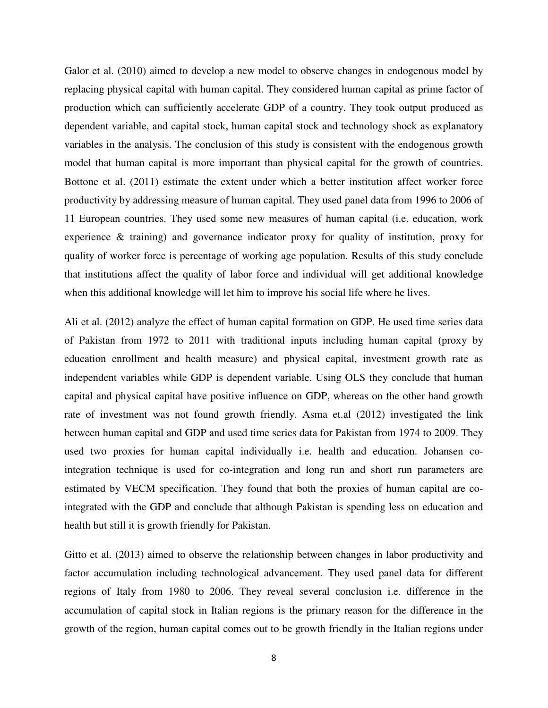Galor et al. (2010) aimed to develop a new model to observe changes in endogenous model by replacing physical capital with human capital. They considered human capital as prime factor of production which can sufficiently accelerate GDP of a country. They took output produced as dependent variable, and capital stock, human capital stock and technology shock as explanatory variables in the analysis. The conclusion of this study is consistent with the endogenous growth model that human capital is more important than physical capital for the growth of countries. Bottone et al. (2011) estimate the extent under which a better institution affect worker force productivity by addressing measure of human capital. They used panel data from 1996 to 2006 of 11 European countries. They used some new measures of human capital (i.e. education, work experience & training) and governance indicator proxy for quality of institution, proxy for quality of worker force is percentage of working age population. Results of this study conclude that institutions affect the quality of labor force and individual will get additional knowledge when this additional knowledge will let him to improve his social life where he lives.

Ali et al. (2012) analyze the effect of human capital formation on GDP. He used time series data of Pakistan from 1972 to 2011 with traditional inputs including human capital (proxy by education enrollment and health measure) and physical capital, investment growth rate as independent variables while GDP is dependent variable. Using OLS they conclude that human capital and physical capital have positive influence on GDP, whereas on the other hand growth rate of investment was not found growth friendly. Asma et.al (2012) investigated the link between human capital and GDP and used time series data for Pakistan from 1974 to 2009. They used two proxies for human capital individually i.e. health and education. Johansen cointegration technique is used for co-integration and long run and short run parameters are estimated by VECM specification. They found that both the proxies of human capital are cointegrated with the GDP and conclude that although Pakistan is spending less on education and health but still it is growth friendly for Pakistan.

Gitto et al. (2013) aimed to observe the relationship between changes in labor productivity and factor accumulation including technological advancement. They used panel data for different regions of Italy from 1980 to 2006. They reveal several conclusion i.e. difference in the accumulation of capital stock in Italian regions is the primary reason for the difference in the growth of the region, human capital comes out to be growth friendly in the Italian regions under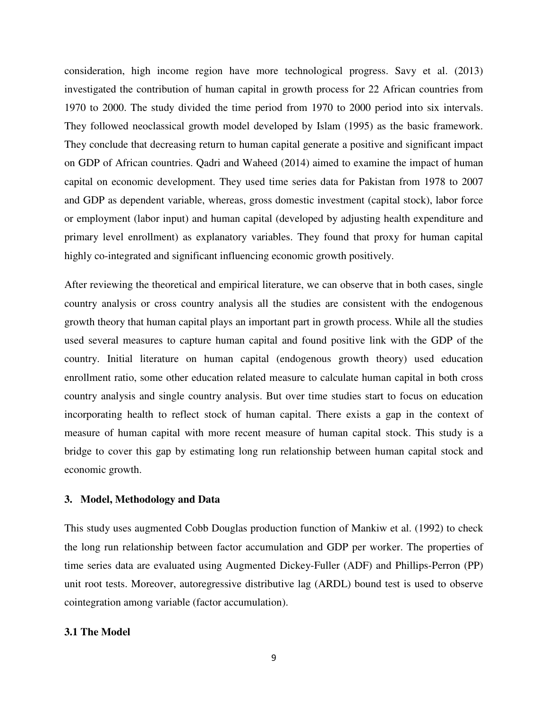consideration, high income region have more technological progress. Savy et al. (2013) investigated the contribution of human capital in growth process for 22 African countries from 1970 to 2000. The study divided the time period from 1970 to 2000 period into six intervals. They followed neoclassical growth model developed by Islam (1995) as the basic framework. They conclude that decreasing return to human capital generate a positive and significant impact on GDP of African countries. Qadri and Waheed (2014) aimed to examine the impact of human capital on economic development. They used time series data for Pakistan from 1978 to 2007 and GDP as dependent variable, whereas, gross domestic investment (capital stock), labor force or employment (labor input) and human capital (developed by adjusting health expenditure and primary level enrollment) as explanatory variables. They found that proxy for human capital highly co-integrated and significant influencing economic growth positively.

After reviewing the theoretical and empirical literature, we can observe that in both cases, single country analysis or cross country analysis all the studies are consistent with the endogenous growth theory that human capital plays an important part in growth process. While all the studies used several measures to capture human capital and found positive link with the GDP of the country. Initial literature on human capital (endogenous growth theory) used education enrollment ratio, some other education related measure to calculate human capital in both cross country analysis and single country analysis. But over time studies start to focus on education incorporating health to reflect stock of human capital. There exists a gap in the context of measure of human capital with more recent measure of human capital stock. This study is a bridge to cover this gap by estimating long run relationship between human capital stock and economic growth.

# **3. Model, Methodology and Data**

This study uses augmented Cobb Douglas production function of Mankiw et al. (1992) to check the long run relationship between factor accumulation and GDP per worker. The properties of time series data are evaluated using Augmented Dickey-Fuller (ADF) and Phillips-Perron (PP) unit root tests. Moreover, autoregressive distributive lag (ARDL) bound test is used to observe cointegration among variable (factor accumulation).

#### **3.1 The Model**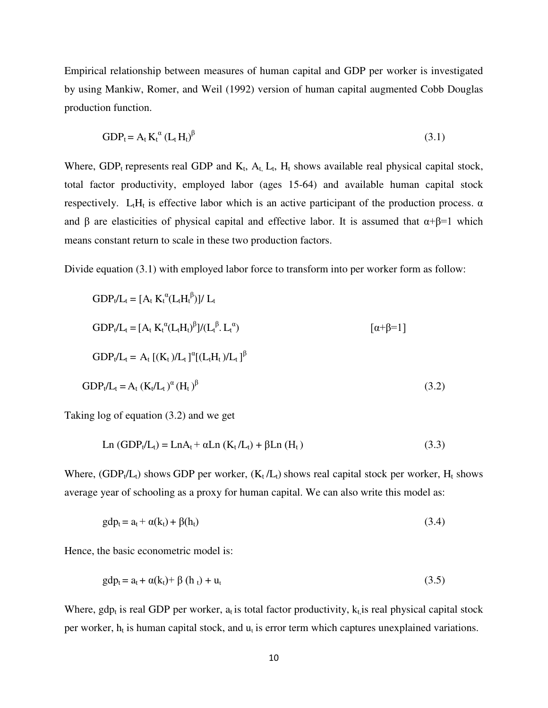Empirical relationship between measures of human capital and GDP per worker is investigated by using Mankiw, Romer, and Weil (1992) version of human capital augmented Cobb Douglas production function.

$$
GDP_t = A_t K_t^{\alpha} (L_t H_t)^{\beta}
$$
\n(3.1)

Where,  $GDP_t$  represents real GDP and  $K_t$ ,  $A_t$ ,  $L_t$ ,  $H_t$  shows available real physical capital stock, total factor productivity, employed labor (ages 15-64) and available human capital stock respectively. L<sub>t</sub>H<sub>t</sub> is effective labor which is an active participant of the production process.  $\alpha$ and  $\beta$  are elasticities of physical capital and effective labor. It is assumed that  $\alpha+\beta=1$  which means constant return to scale in these two production factors.

Divide equation (3.1) with employed labor force to transform into per worker form as follow:

GDPt/L<sup>t</sup> = [A<sup>t</sup> K<sup>t</sup> α (LtH<sup>t</sup> β )]/ L<sup>t</sup> GDPt/L<sup>t</sup> = [A<sup>t</sup> K<sup>t</sup> α (LtHt) β ]/(L<sup>t</sup> β . L<sup>t</sup> α ) [α+β=1] GDPt/L<sup>t</sup> = A<sup>t</sup> [(Kt )/Lt ] α [(LtHt )/Lt ] β GDPt/L<sup>t</sup> = A<sup>t</sup> (Kt/Lt ) <sup>α</sup>(Ht ) β (3.2)

Taking log of equation (3.2) and we get

$$
Ln (GDPt/Lt) = LnAt + αLn (Kt/Lt) + βLn (Ht)
$$
\n(3.3)

Where,  $(GDP_t/L_t)$  shows GDP per worker,  $(K_t/L_t)$  shows real capital stock per worker,  $H_t$  shows average year of schooling as a proxy for human capital. We can also write this model as:

$$
gdp_t = a_t + \alpha(k_t) + \beta(h_t)
$$
\n(3.4)

Hence, the basic econometric model is:

$$
gdp_t = a_t + \alpha(k_t) + \beta(h_t) + u_t
$$
\n(3.5)

Where, gdp<sub>t</sub> is real GDP per worker,  $a_t$  is total factor productivity,  $k_t$  is real physical capital stock per worker,  $h_t$  is human capital stock, and  $u_t$  is error term which captures unexplained variations.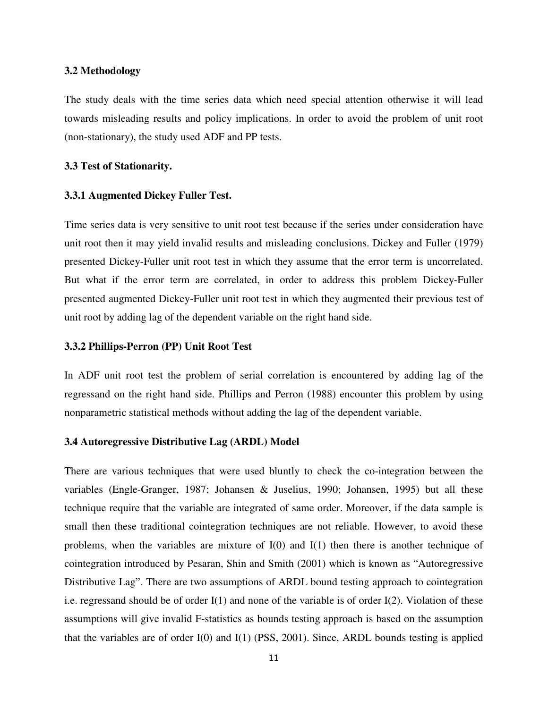#### **3.2 Methodology**

The study deals with the time series data which need special attention otherwise it will lead towards misleading results and policy implications. In order to avoid the problem of unit root (non-stationary), the study used ADF and PP tests.

#### **3.3 Test of Stationarity.**

#### **3.3.1 Augmented Dickey Fuller Test.**

Time series data is very sensitive to unit root test because if the series under consideration have unit root then it may yield invalid results and misleading conclusions. Dickey and Fuller (1979) presented Dickey-Fuller unit root test in which they assume that the error term is uncorrelated. But what if the error term are correlated, in order to address this problem Dickey-Fuller presented augmented Dickey-Fuller unit root test in which they augmented their previous test of unit root by adding lag of the dependent variable on the right hand side.

#### **3.3.2 Phillips-Perron (PP) Unit Root Test**

In ADF unit root test the problem of serial correlation is encountered by adding lag of the regressand on the right hand side. Phillips and Perron (1988) encounter this problem by using nonparametric statistical methods without adding the lag of the dependent variable.

#### **3.4 Autoregressive Distributive Lag (ARDL) Model**

There are various techniques that were used bluntly to check the co-integration between the variables (Engle-Granger, 1987; Johansen & Juselius, 1990; Johansen, 1995) but all these technique require that the variable are integrated of same order. Moreover, if the data sample is small then these traditional cointegration techniques are not reliable. However, to avoid these problems, when the variables are mixture of  $I(0)$  and  $I(1)$  then there is another technique of cointegration introduced by Pesaran, Shin and Smith (2001) which is known as "Autoregressive Distributive Lag". There are two assumptions of ARDL bound testing approach to cointegration i.e. regressand should be of order  $I(1)$  and none of the variable is of order  $I(2)$ . Violation of these assumptions will give invalid F-statistics as bounds testing approach is based on the assumption that the variables are of order I(0) and I(1) (PSS, 2001). Since, ARDL bounds testing is applied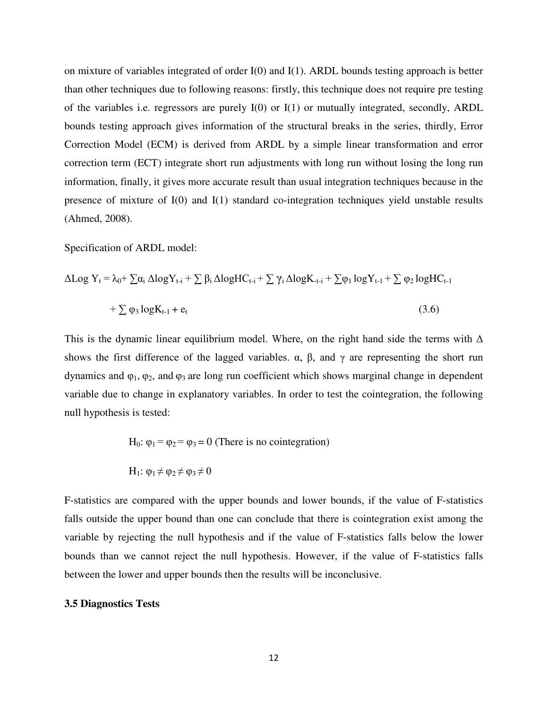on mixture of variables integrated of order I(0) and I(1). ARDL bounds testing approach is better than other techniques due to following reasons: firstly, this technique does not require pre testing of the variables i.e. regressors are purely  $I(0)$  or  $I(1)$  or mutually integrated, secondly, ARDL bounds testing approach gives information of the structural breaks in the series, thirdly, Error Correction Model (ECM) is derived from ARDL by a simple linear transformation and error correction term (ECT) integrate short run adjustments with long run without losing the long run information, finally, it gives more accurate result than usual integration techniques because in the presence of mixture of I(0) and I(1) standard co-integration techniques yield unstable results (Ahmed, 2008).

Specification of ARDL model:

$$
\Delta Log Y_t = \lambda_0 + \sum \alpha_i \Delta log Y_{t-i} + \sum \beta_i \Delta log HC_{t-i} + \sum \gamma_i \Delta log K_{t-i} + \sum \varphi_1 log Y_{t-1} + \sum \varphi_2 log HC_{t-1} + \sum \varphi_3 log K_{t-1} + e_t
$$
\n(3.6)

This is the dynamic linear equilibrium model. Where, on the right hand side the terms with  $\Delta$ shows the first difference of the lagged variables.  $\alpha$ ,  $\beta$ , and  $\gamma$  are representing the short run dynamics and  $φ_1$ ,  $φ_2$ , and  $φ_3$  are long run coefficient which shows marginal change in dependent variable due to change in explanatory variables. In order to test the cointegration, the following null hypothesis is tested:

H<sub>0</sub>: 
$$
\varphi_1 = \varphi_2 = \varphi_3 = 0
$$
 (There is no cointegration)  
H<sub>1</sub>:  $\varphi_1 \neq \varphi_2 \neq \varphi_3 \neq 0$ 

F-statistics are compared with the upper bounds and lower bounds, if the value of F-statistics falls outside the upper bound than one can conclude that there is cointegration exist among the variable by rejecting the null hypothesis and if the value of F-statistics falls below the lower bounds than we cannot reject the null hypothesis. However, if the value of F-statistics falls between the lower and upper bounds then the results will be inconclusive.

#### **3.5 Diagnostics Tests**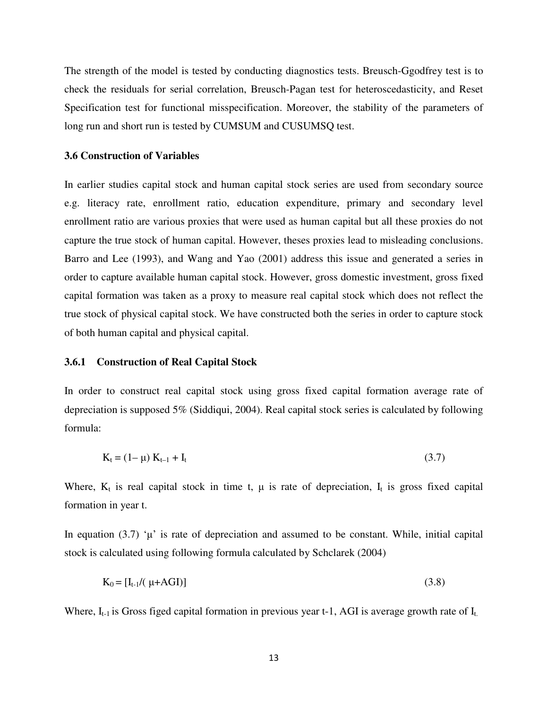The strength of the model is tested by conducting diagnostics tests. Breusch-Ggodfrey test is to check the residuals for serial correlation, Breusch-Pagan test for heteroscedasticity, and Reset Specification test for functional misspecification. Moreover, the stability of the parameters of long run and short run is tested by CUMSUM and CUSUMSQ test.

#### **3.6 Construction of Variables**

In earlier studies capital stock and human capital stock series are used from secondary source e.g. literacy rate, enrollment ratio, education expenditure, primary and secondary level enrollment ratio are various proxies that were used as human capital but all these proxies do not capture the true stock of human capital. However, theses proxies lead to misleading conclusions. Barro and Lee (1993), and Wang and Yao (2001) address this issue and generated a series in order to capture available human capital stock. However, gross domestic investment, gross fixed capital formation was taken as a proxy to measure real capital stock which does not reflect the true stock of physical capital stock. We have constructed both the series in order to capture stock of both human capital and physical capital.

#### **3.6.1 Construction of Real Capital Stock**

In order to construct real capital stock using gross fixed capital formation average rate of depreciation is supposed 5% (Siddiqui, 2004). Real capital stock series is calculated by following formula:

$$
K_t = (1 - \mu) K_{t-1} + I_t
$$
\n(3.7)

Where,  $K_t$  is real capital stock in time t,  $\mu$  is rate of depreciation,  $I_t$  is gross fixed capital formation in year t.

In equation (3.7) ' $\mu$ ' is rate of depreciation and assumed to be constant. While, initial capital stock is calculated using following formula calculated by Schclarek (2004)

$$
K_0 = [I_{t-1}/(\mu + AGI)] \tag{3.8}
$$

Where,  $I_{t-1}$  is Gross figed capital formation in previous year t-1, AGI is average growth rate of  $I_t$ .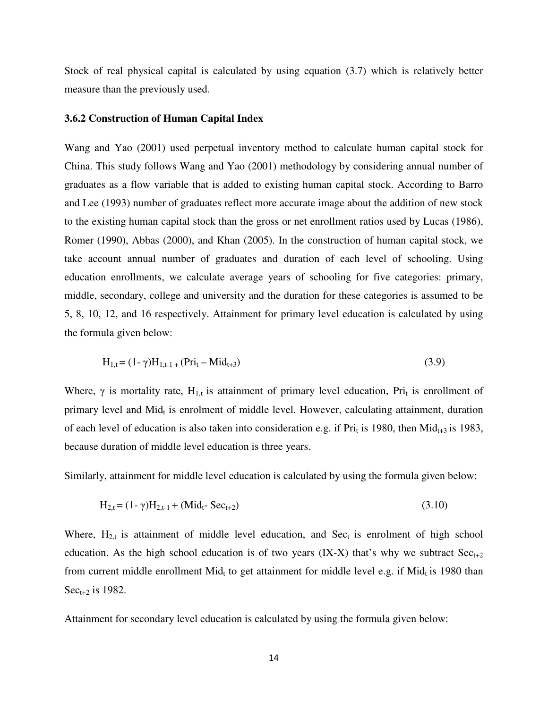Stock of real physical capital is calculated by using equation (3.7) which is relatively better measure than the previously used.

#### **3.6.2 Construction of Human Capital Index**

Wang and Yao (2001) used perpetual inventory method to calculate human capital stock for China. This study follows Wang and Yao (2001) methodology by considering annual number of graduates as a flow variable that is added to existing human capital stock. According to Barro and Lee (1993) number of graduates reflect more accurate image about the addition of new stock to the existing human capital stock than the gross or net enrollment ratios used by Lucas (1986), Romer (1990), Abbas (2000), and Khan (2005). In the construction of human capital stock, we take account annual number of graduates and duration of each level of schooling. Using education enrollments, we calculate average years of schooling for five categories: primary, middle, secondary, college and university and the duration for these categories is assumed to be 5, 8, 10, 12, and 16 respectively. Attainment for primary level education is calculated by using the formula given below:

$$
H_{1,t} = (1 - \gamma)H_{1,t-1} + (Pri_t - Mid_{t+3})
$$
\n(3.9)

Where,  $\gamma$  is mortality rate, H<sub>1,t</sub> is attainment of primary level education, Pri<sub>t</sub> is enrollment of primary level and  $Mid_t$  is enrolment of middle level. However, calculating attainment, duration of each level of education is also taken into consideration e.g. if Pri<sub>t</sub> is 1980, then Mid<sub>t+3</sub> is 1983, because duration of middle level education is three years.

Similarly, attainment for middle level education is calculated by using the formula given below:

$$
H_{2,t} = (1 - \gamma)H_{2,t-1} + (Mid_t - Sec_{t+2})
$$
\n(3.10)

Where,  $H_{2,t}$  is attainment of middle level education, and  $Sec_t$  is enrolment of high school education. As the high school education is of two years (IX-X) that's why we subtract  $Sec_{t+2}$ from current middle enrollment Mid<sub>t</sub> to get attainment for middle level e.g. if Mid<sub>t</sub> is 1980 than  $Sec_{t+2}$  is 1982.

Attainment for secondary level education is calculated by using the formula given below: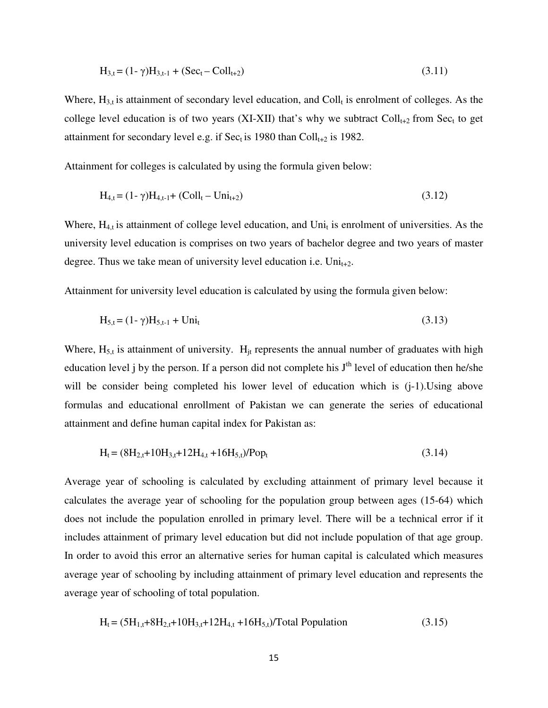$$
H_{3,t} = (1 - \gamma)H_{3,t-1} + (Sec_t - Coll_{t+2})
$$
\n(3.11)

Where,  $H_{3,t}$  is attainment of secondary level education, and Coll<sub>t</sub> is enrolment of colleges. As the college level education is of two years (XI-XII) that's why we subtract  $Coll_{t+2}$  from Sec<sub>t</sub> to get attainment for secondary level e.g. if Sec<sub>t</sub> is 1980 than  $Coll_{t+2}$  is 1982.

Attainment for colleges is calculated by using the formula given below:

$$
H_{4,t} = (1 - \gamma)H_{4,t-1} + (Coll_t - Uni_{t+2})
$$
\n(3.12)

Where,  $H_{4,t}$  is attainment of college level education, and Uni<sub>t</sub> is enrolment of universities. As the university level education is comprises on two years of bachelor degree and two years of master degree. Thus we take mean of university level education i.e.  $Uni_{t+2}$ .

Attainment for university level education is calculated by using the formula given below:

$$
H_{5,t} = (1 - \gamma)H_{5,t-1} + Uni_t
$$
\n(3.13)

Where,  $H_{5,t}$  is attainment of university.  $H_{it}$  represents the annual number of graduates with high education level j by the person. If a person did not complete his  $J<sup>th</sup>$  level of education then he/she will be consider being completed his lower level of education which is  $(i-1)$ . Using above formulas and educational enrollment of Pakistan we can generate the series of educational attainment and define human capital index for Pakistan as:

$$
H_t = (8H_{2,t} + 10H_{3,t} + 12H_{4,t} + 16H_{5,t})/Pop_t
$$
\n(3.14)

Average year of schooling is calculated by excluding attainment of primary level because it calculates the average year of schooling for the population group between ages (15-64) which does not include the population enrolled in primary level. There will be a technical error if it includes attainment of primary level education but did not include population of that age group. In order to avoid this error an alternative series for human capital is calculated which measures average year of schooling by including attainment of primary level education and represents the average year of schooling of total population.

$$
H_t = (5H_{1,t} + 8H_{2,t} + 10H_{3,t} + 12H_{4,t} + 16H_{5,t})/Total Population
$$
 (3.15)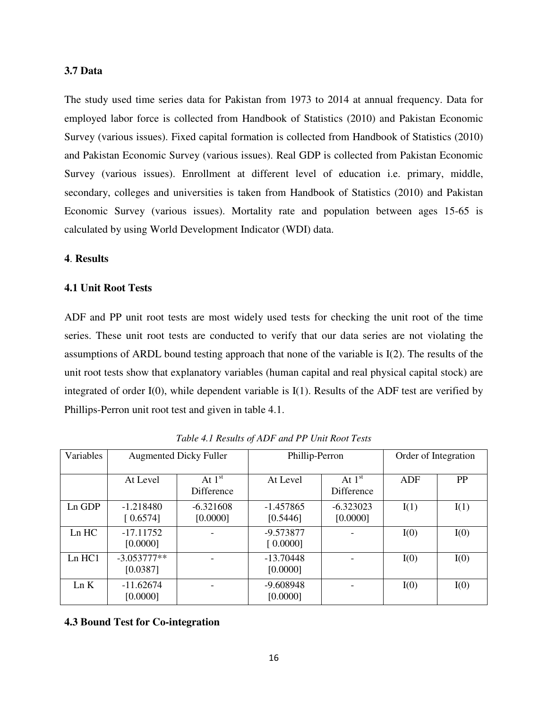## **3.7 Data**

The study used time series data for Pakistan from 1973 to 2014 at annual frequency. Data for employed labor force is collected from Handbook of Statistics (2010) and Pakistan Economic Survey (various issues). Fixed capital formation is collected from Handbook of Statistics (2010) and Pakistan Economic Survey (various issues). Real GDP is collected from Pakistan Economic Survey (various issues). Enrollment at different level of education i.e. primary, middle, secondary, colleges and universities is taken from Handbook of Statistics (2010) and Pakistan Economic Survey (various issues). Mortality rate and population between ages 15-65 is calculated by using World Development Indicator (WDI) data.

## **4**. **Results**

#### **4.1 Unit Root Tests**

ADF and PP unit root tests are most widely used tests for checking the unit root of the time series. These unit root tests are conducted to verify that our data series are not violating the assumptions of ARDL bound testing approach that none of the variable is I(2). The results of the unit root tests show that explanatory variables (human capital and real physical capital stock) are integrated of order I(0), while dependent variable is I(1). Results of the ADF test are verified by Phillips-Perron unit root test and given in table 4.1.

| Variables | <b>Augmented Dicky Fuller</b> |                         | Phillip-Perron          |                         | Order of Integration |           |
|-----------|-------------------------------|-------------------------|-------------------------|-------------------------|----------------------|-----------|
|           | At Level                      | At $1st$<br>Difference  | At Level                | At $1st$<br>Difference  | ADF                  | <b>PP</b> |
| $Ln$ GDP  | $-1.218480$<br>[0.6574]       | $-6.321608$<br>[0.0000] | $-1.457865$<br>[0.5446] | $-6.323023$<br>[0.0000] | I(1)                 | I(1)      |
| $Ln$ $HC$ | $-17.11752$<br>[0.0000]       |                         | $-9.573877$<br>[0.0000] |                         | I(0)                 | I(0)      |
| Ln HC1    | $-3.053777**$<br>[0.0387]     |                         | $-13.70448$<br>[0.0000] |                         | I(0)                 | I(0)      |
| Ln K      | $-11.62674$<br>[0.0000]       |                         | $-9.608948$<br>[0.0000] |                         | I(0)                 | I(0)      |

*Table 4.1 Results of ADF and PP Unit Root Tests*

**4.3 Bound Test for Co-integration**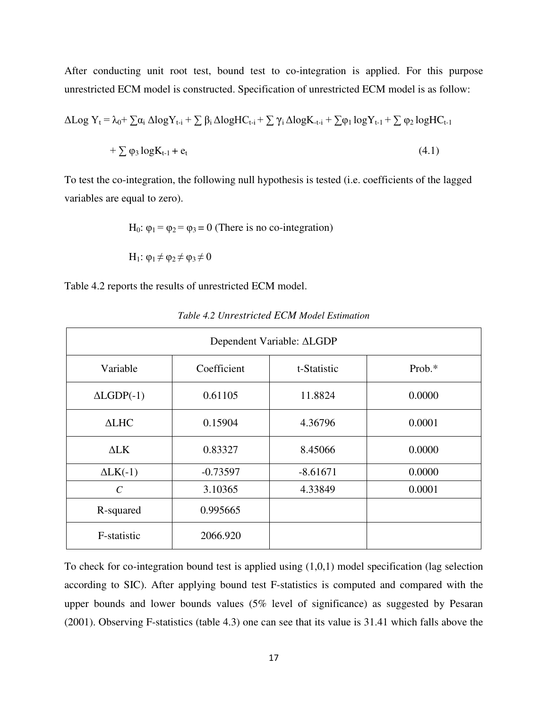After conducting unit root test, bound test to co-integration is applied. For this purpose unrestricted ECM model is constructed. Specification of unrestricted ECM model is as follow:

$$
\Delta Log Y_t = \lambda_0 + \sum \alpha_i \Delta log Y_{t-i} + \sum \beta_i \Delta log HC_{t-i} + \sum \gamma_i \Delta log K_{t-i} + \sum \varphi_1 log Y_{t-1} + \sum \varphi_2 log HC_{t-1} + \sum \varphi_3 log K_{t-1} + e_t
$$
\n(4.1)

To test the co-integration, the following null hypothesis is tested (i.e. coefficients of the lagged variables are equal to zero).

H<sub>0</sub>:  $\varphi_1 = \varphi_2 = \varphi_3 = 0$  (There is no co-integration)

$$
H_1\text{: }\phi_1\!\neq\!\phi_2\!\neq\!\phi_3\!\neq\!0
$$

Table 4.2 reports the results of unrestricted ECM model.

| Dependent Variable: ALGDP |             |             |        |  |  |
|---------------------------|-------------|-------------|--------|--|--|
| Variable                  | Coefficient | t-Statistic | Prob.* |  |  |
| $\triangle LGDP(-1)$      | 0.61105     | 11.8824     | 0.0000 |  |  |
| $\triangle LHC$           | 0.15904     | 4.36796     | 0.0001 |  |  |
| $\Delta$ LK               | 0.83327     | 8.45066     | 0.0000 |  |  |
| $\Delta L K(-1)$          | $-0.73597$  | $-8.61671$  | 0.0000 |  |  |
| $\mathcal{C}$             | 3.10365     | 4.33849     | 0.0001 |  |  |
| R-squared                 | 0.995665    |             |        |  |  |
| F-statistic               | 2066.920    |             |        |  |  |

*Table 4.2 Unrestricted ECM Model Estimation* 

To check for co-integration bound test is applied using (1,0,1) model specification (lag selection according to SIC). After applying bound test F-statistics is computed and compared with the upper bounds and lower bounds values (5% level of significance) as suggested by Pesaran (2001). Observing F-statistics (table 4.3) one can see that its value is 31.41 which falls above the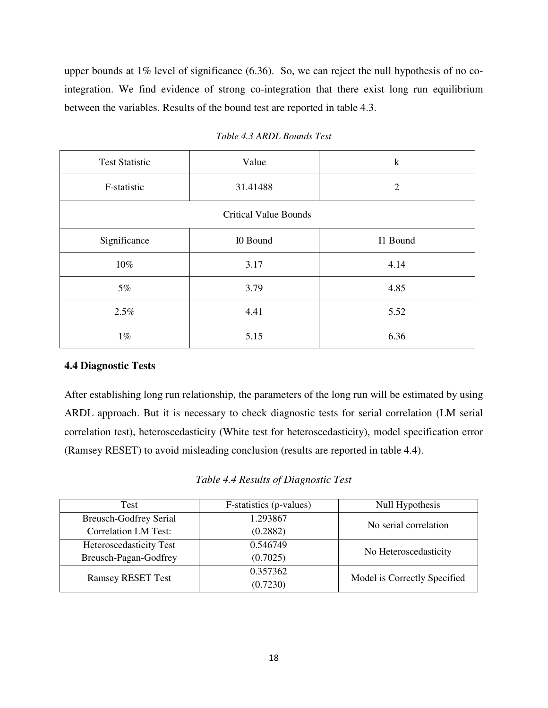upper bounds at 1% level of significance (6.36). So, we can reject the null hypothesis of no cointegration. We find evidence of strong co-integration that there exist long run equilibrium between the variables. Results of the bound test are reported in table 4.3.

| <b>Test Statistic</b> | Value                        | $\mathbf k$    |  |  |  |  |
|-----------------------|------------------------------|----------------|--|--|--|--|
| F-statistic           | 31.41488                     | $\overline{2}$ |  |  |  |  |
|                       | <b>Critical Value Bounds</b> |                |  |  |  |  |
| Significance          | I0 Bound                     | I1 Bound       |  |  |  |  |
| 10%<br>3.17           |                              | 4.14           |  |  |  |  |
| 5%                    | 3.79                         | 4.85           |  |  |  |  |
| 2.5%<br>4.41          |                              | 5.52           |  |  |  |  |
| $1\%$                 | 5.15                         | 6.36           |  |  |  |  |

*Table 4.3 ARDL Bounds Test*

# **4.4 Diagnostic Tests**

After establishing long run relationship, the parameters of the long run will be estimated by using ARDL approach. But it is necessary to check diagnostic tests for serial correlation (LM serial correlation test), heteroscedasticity (White test for heteroscedasticity), model specification error (Ramsey RESET) to avoid misleading conclusion (results are reported in table 4.4).

# *Table 4.4 Results of Diagnostic Test*

| Test                          | F-statistics (p-values) | Null Hypothesis              |  |
|-------------------------------|-------------------------|------------------------------|--|
| <b>Breusch-Godfrey Serial</b> | 1.293867                | No serial correlation        |  |
| <b>Correlation LM Test:</b>   | (0.2882)                |                              |  |
| Heteroscedasticity Test       | 0.546749                |                              |  |
| Breusch-Pagan-Godfrey         | (0.7025)                | No Heteroscedasticity        |  |
| <b>Ramsey RESET Test</b>      | 0.357362                | Model is Correctly Specified |  |
|                               | (0.7230)                |                              |  |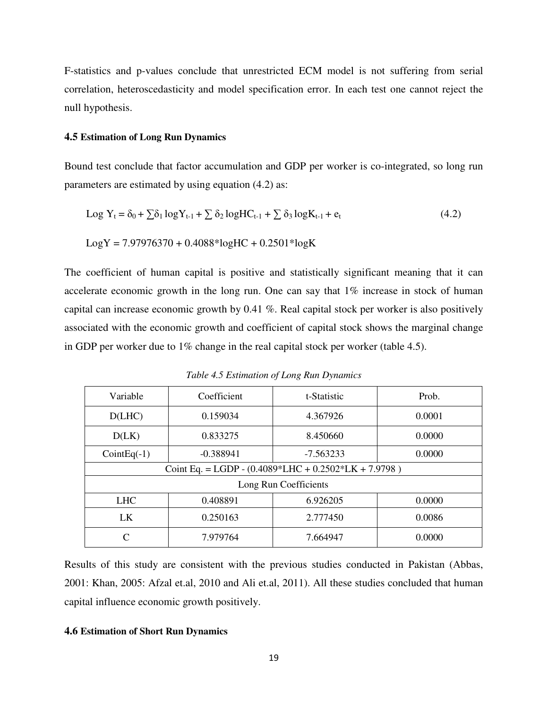F-statistics and p-values conclude that unrestricted ECM model is not suffering from serial correlation, heteroscedasticity and model specification error. In each test one cannot reject the null hypothesis.

#### **4.5 Estimation of Long Run Dynamics**

Bound test conclude that factor accumulation and GDP per worker is co-integrated, so long run parameters are estimated by using equation (4.2) as:

$$
Log Yt = \delta0 + \sum \delta1 log Yt-1 + \sum \delta2 log HCt-1 + \sum \delta3 log Kt-1 + et
$$
\n(4.2)

$$
LogY = 7.97976370 + 0.4088 * logHC + 0.2501 * logK
$$

The coefficient of human capital is positive and statistically significant meaning that it can accelerate economic growth in the long run. One can say that 1% increase in stock of human capital can increase economic growth by 0.41 %. Real capital stock per worker is also positively associated with the economic growth and coefficient of capital stock shows the marginal change in GDP per worker due to 1% change in the real capital stock per worker (table 4.5).

Variable Coefficient t-Statistic Prob. D(LHC) 0.159034 4.367926 0.0001 D(LK) 0.833275 8.450660 0.0000  $\text{CointEq}(-1)$  -0.388941 -7.563233 | 0.0000 Coint Eq. = LGDP -  $(0.4089*LHC + 0.2502*LK + 7.9798)$ Long Run Coefficients LHC 0.408891 6.926205 0.0000 LK 1 0.250163 2.777450 0.0086 C | 7.979764 | 7.664947 | 0.0000

*Table 4.5 Estimation of Long Run Dynamics* 

Results of this study are consistent with the previous studies conducted in Pakistan (Abbas, 2001: Khan, 2005: Afzal et.al, 2010 and Ali et.al, 2011). All these studies concluded that human capital influence economic growth positively.

#### **4.6 Estimation of Short Run Dynamics**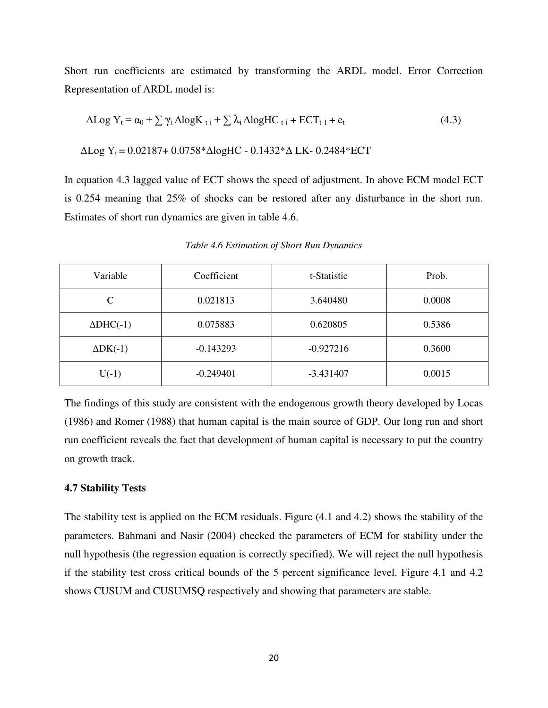Short run coefficients are estimated by transforming the ARDL model. Error Correction Representation of ARDL model is:

$$
\Delta Log Y_t = \alpha_0 + \sum \gamma_i \Delta log K_{-t-i} + \sum \lambda_i \Delta log HC_{-t-i} + ECT_{t-1} + e_t
$$
\n(4.3)

$$
\Delta Log Y_t = 0.02187 + 0.0758 * \Delta logHC - 0.1432 * \Delta LK - 0.2484 * ECT
$$

In equation 4.3 lagged value of ECT shows the speed of adjustment. In above ECM model ECT is 0.254 meaning that 25% of shocks can be restored after any disturbance in the short run. Estimates of short run dynamics are given in table 4.6.

| Variable            | Coefficient | t-Statistic | Prob.  |
|---------------------|-------------|-------------|--------|
| C                   | 0.021813    | 3.640480    | 0.0008 |
| $\Delta$ DHC $(-1)$ | 0.075883    | 0.620805    | 0.5386 |
| $\Delta$ DK $(-1)$  | $-0.143293$ | $-0.927216$ | 0.3600 |
| $U(-1)$             | $-0.249401$ | $-3.431407$ | 0.0015 |

*Table 4.6 Estimation of Short Run Dynamics* 

The findings of this study are consistent with the endogenous growth theory developed by Locas (1986) and Romer (1988) that human capital is the main source of GDP. Our long run and short run coefficient reveals the fact that development of human capital is necessary to put the country on growth track.

#### **4.7 Stability Tests**

The stability test is applied on the ECM residuals. Figure (4.1 and 4.2) shows the stability of the parameters. Bahmani and Nasir (2004) checked the parameters of ECM for stability under the null hypothesis (the regression equation is correctly specified). We will reject the null hypothesis if the stability test cross critical bounds of the 5 percent significance level. Figure 4.1 and 4.2 shows CUSUM and CUSUMSQ respectively and showing that parameters are stable.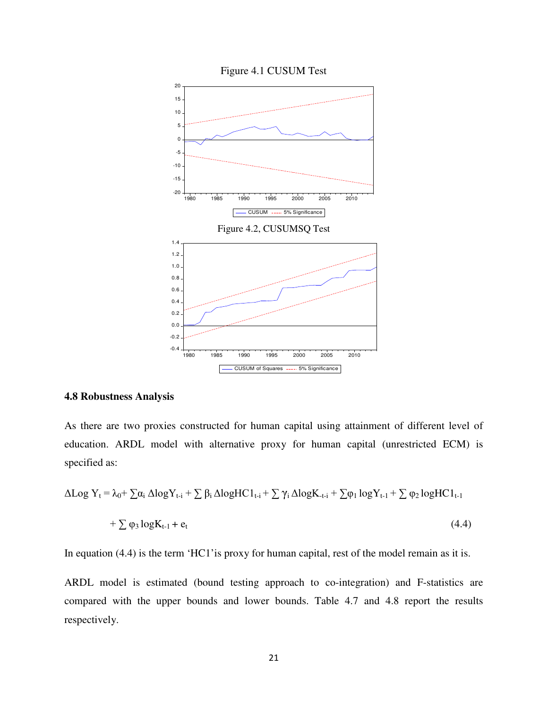

#### **4.8 Robustness Analysis**

As there are two proxies constructed for human capital using attainment of different level of education. ARDL model with alternative proxy for human capital (unrestricted ECM) is specified as:

$$
\Delta Log Y_t = \lambda_0 + \sum \alpha_i \Delta log Y_{t-i} + \sum \beta_i \Delta log H C 1_{t-i} + \sum \gamma_i \Delta log K_{t-i} + \sum \varphi_1 log Y_{t-1} + \sum \varphi_2 log H C 1_{t-1} + \sum \varphi_3 log K_{t-1} + e_t
$$
\n(4.4)

In equation (4.4) is the term 'HC1' is proxy for human capital, rest of the model remain as it is.

ARDL model is estimated (bound testing approach to co-integration) and F-statistics are compared with the upper bounds and lower bounds. Table 4.7 and 4.8 report the results respectively.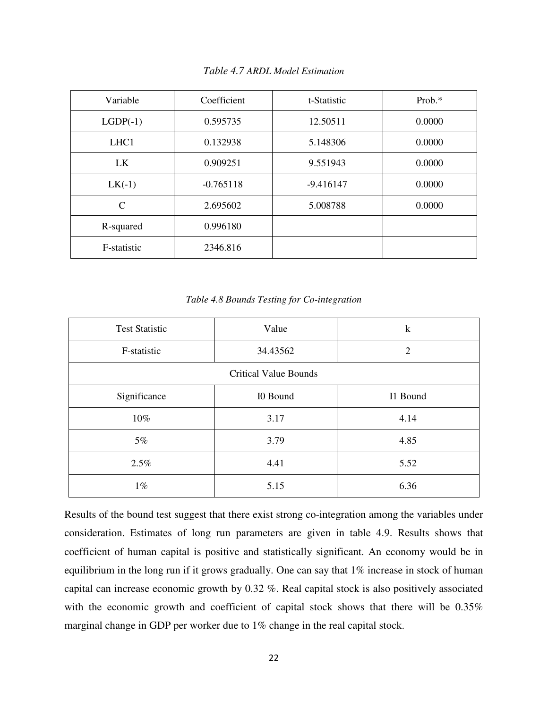| Variable         | Coefficient | t-Statistic | Prob. $*$ |
|------------------|-------------|-------------|-----------|
| $LGDP(-1)$       | 0.595735    | 12.50511    | 0.0000    |
| LHC <sub>1</sub> | 0.132938    | 5.148306    | 0.0000    |
| LK               | 0.909251    | 9.551943    | 0.0000    |
| $LK(-1)$         | $-0.765118$ | $-9.416147$ | 0.0000    |
| $\mathcal{C}$    | 2.695602    | 5.008788    | 0.0000    |
| R-squared        | 0.996180    |             |           |
| F-statistic      | 2346.816    |             |           |

*Table 4.7 ARDL Model Estimation*

| Table 4.8 Bounds Testing for Co-integration |  |  |
|---------------------------------------------|--|--|
|---------------------------------------------|--|--|

| Value<br><b>Test Statistic</b> |                              | $\bf k$        |
|--------------------------------|------------------------------|----------------|
| F-statistic                    | 34.43562                     | $\overline{2}$ |
|                                | <b>Critical Value Bounds</b> |                |
| Significance                   | I0 Bound                     | I1 Bound       |
| 10%                            | 3.17                         | 4.14           |
| $5\%$                          | 3.79                         | 4.85           |
| 2.5%                           | 4.41                         | 5.52           |
| $1\%$                          | 5.15                         | 6.36           |

Results of the bound test suggest that there exist strong co-integration among the variables under consideration. Estimates of long run parameters are given in table 4.9. Results shows that coefficient of human capital is positive and statistically significant. An economy would be in equilibrium in the long run if it grows gradually. One can say that 1% increase in stock of human capital can increase economic growth by 0.32 %. Real capital stock is also positively associated with the economic growth and coefficient of capital stock shows that there will be 0.35% marginal change in GDP per worker due to 1% change in the real capital stock.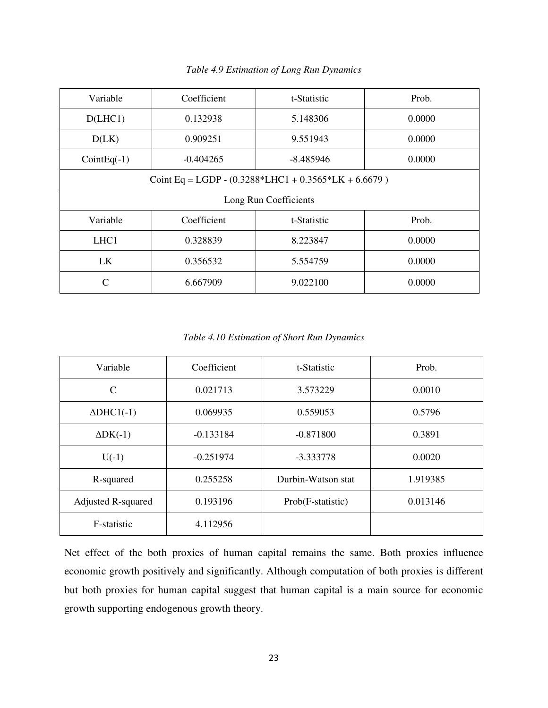| Variable                                                   | Coefficient | t-Statistic | Prob.  |  |  |
|------------------------------------------------------------|-------------|-------------|--------|--|--|
| D(LHC1)                                                    | 0.132938    | 5.148306    | 0.0000 |  |  |
| D(LK)                                                      | 0.909251    | 9.551943    | 0.0000 |  |  |
| $CointEq(-1)$                                              | $-0.404265$ | $-8.485946$ | 0.0000 |  |  |
| Coint Eq = LGDP - $(0.3288 * LHC1 + 0.3565 * LK + 6.6679)$ |             |             |        |  |  |
| Long Run Coefficients                                      |             |             |        |  |  |
|                                                            |             |             |        |  |  |
| Variable                                                   | Coefficient | t-Statistic | Prob.  |  |  |
| LHC <sub>1</sub>                                           | 0.328839    | 8.223847    | 0.0000 |  |  |
| LK                                                         | 0.356532    | 5.554759    | 0.0000 |  |  |

*Table 4.9 Estimation of Long Run Dynamics* 

*Table 4.10 Estimation of Short Run Dynamics* 

| Variable                  | Coefficient | t-Statistic        | Prob.    |
|---------------------------|-------------|--------------------|----------|
| $\mathcal{C}$             | 0.021713    | 3.573229           | 0.0010   |
| $\Delta DHCl(-1)$         | 0.069935    | 0.559053           | 0.5796   |
| $\Delta DK(-1)$           | $-0.133184$ | $-0.871800$        | 0.3891   |
| $U(-1)$                   | $-0.251974$ | $-3.333778$        | 0.0020   |
| R-squared                 | 0.255258    | Durbin-Watson stat | 1.919385 |
| <b>Adjusted R-squared</b> | 0.193196    | Prob(F-statistic)  | 0.013146 |
| F-statistic               | 4.112956    |                    |          |

Net effect of the both proxies of human capital remains the same. Both proxies influence economic growth positively and significantly. Although computation of both proxies is different but both proxies for human capital suggest that human capital is a main source for economic growth supporting endogenous growth theory.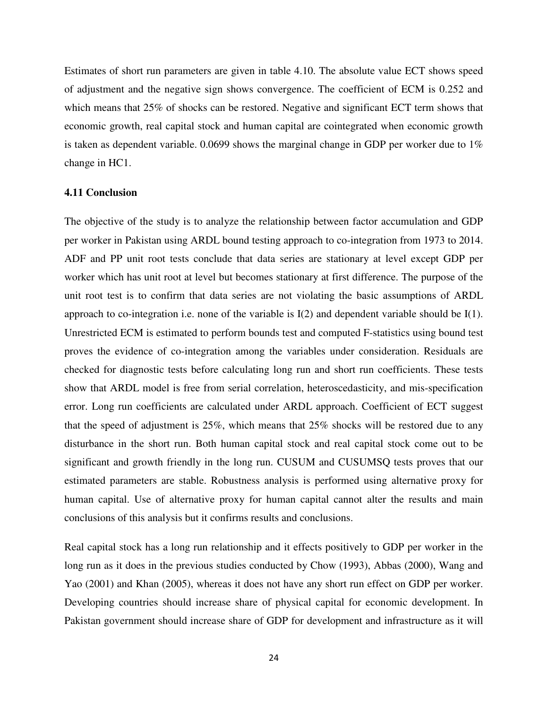Estimates of short run parameters are given in table 4.10. The absolute value ECT shows speed of adjustment and the negative sign shows convergence. The coefficient of ECM is 0.252 and which means that 25% of shocks can be restored. Negative and significant ECT term shows that economic growth, real capital stock and human capital are cointegrated when economic growth is taken as dependent variable. 0.0699 shows the marginal change in GDP per worker due to  $1\%$ change in HC1.

#### **4.11 Conclusion**

The objective of the study is to analyze the relationship between factor accumulation and GDP per worker in Pakistan using ARDL bound testing approach to co-integration from 1973 to 2014. ADF and PP unit root tests conclude that data series are stationary at level except GDP per worker which has unit root at level but becomes stationary at first difference. The purpose of the unit root test is to confirm that data series are not violating the basic assumptions of ARDL approach to co-integration i.e. none of the variable is I(2) and dependent variable should be I(1). Unrestricted ECM is estimated to perform bounds test and computed F-statistics using bound test proves the evidence of co-integration among the variables under consideration. Residuals are checked for diagnostic tests before calculating long run and short run coefficients. These tests show that ARDL model is free from serial correlation, heteroscedasticity, and mis-specification error. Long run coefficients are calculated under ARDL approach. Coefficient of ECT suggest that the speed of adjustment is 25%, which means that 25% shocks will be restored due to any disturbance in the short run. Both human capital stock and real capital stock come out to be significant and growth friendly in the long run. CUSUM and CUSUMSQ tests proves that our estimated parameters are stable. Robustness analysis is performed using alternative proxy for human capital. Use of alternative proxy for human capital cannot alter the results and main conclusions of this analysis but it confirms results and conclusions.

Real capital stock has a long run relationship and it effects positively to GDP per worker in the long run as it does in the previous studies conducted by Chow (1993), Abbas (2000), Wang and Yao (2001) and Khan (2005), whereas it does not have any short run effect on GDP per worker. Developing countries should increase share of physical capital for economic development. In Pakistan government should increase share of GDP for development and infrastructure as it will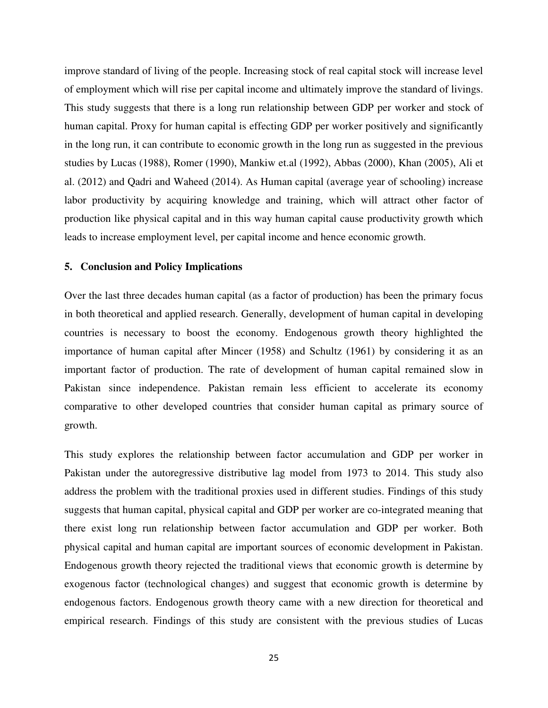improve standard of living of the people. Increasing stock of real capital stock will increase level of employment which will rise per capital income and ultimately improve the standard of livings. This study suggests that there is a long run relationship between GDP per worker and stock of human capital. Proxy for human capital is effecting GDP per worker positively and significantly in the long run, it can contribute to economic growth in the long run as suggested in the previous studies by Lucas (1988), Romer (1990), Mankiw et.al (1992), Abbas (2000), Khan (2005), Ali et al. (2012) and Qadri and Waheed (2014). As Human capital (average year of schooling) increase labor productivity by acquiring knowledge and training, which will attract other factor of production like physical capital and in this way human capital cause productivity growth which leads to increase employment level, per capital income and hence economic growth.

#### **5. Conclusion and Policy Implications**

Over the last three decades human capital (as a factor of production) has been the primary focus in both theoretical and applied research. Generally, development of human capital in developing countries is necessary to boost the economy. Endogenous growth theory highlighted the importance of human capital after Mincer (1958) and Schultz (1961) by considering it as an important factor of production. The rate of development of human capital remained slow in Pakistan since independence. Pakistan remain less efficient to accelerate its economy comparative to other developed countries that consider human capital as primary source of growth.

This study explores the relationship between factor accumulation and GDP per worker in Pakistan under the autoregressive distributive lag model from 1973 to 2014. This study also address the problem with the traditional proxies used in different studies. Findings of this study suggests that human capital, physical capital and GDP per worker are co-integrated meaning that there exist long run relationship between factor accumulation and GDP per worker. Both physical capital and human capital are important sources of economic development in Pakistan. Endogenous growth theory rejected the traditional views that economic growth is determine by exogenous factor (technological changes) and suggest that economic growth is determine by endogenous factors. Endogenous growth theory came with a new direction for theoretical and empirical research. Findings of this study are consistent with the previous studies of Lucas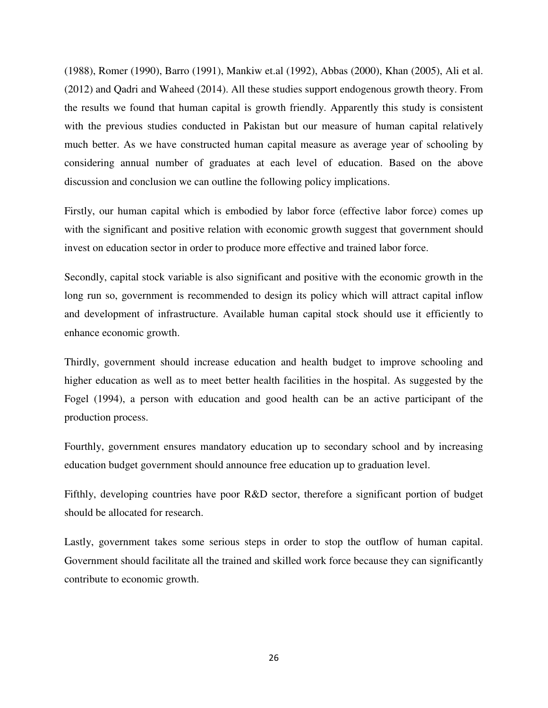(1988), Romer (1990), Barro (1991), Mankiw et.al (1992), Abbas (2000), Khan (2005), Ali et al. (2012) and Qadri and Waheed (2014). All these studies support endogenous growth theory. From the results we found that human capital is growth friendly. Apparently this study is consistent with the previous studies conducted in Pakistan but our measure of human capital relatively much better. As we have constructed human capital measure as average year of schooling by considering annual number of graduates at each level of education. Based on the above discussion and conclusion we can outline the following policy implications.

Firstly, our human capital which is embodied by labor force (effective labor force) comes up with the significant and positive relation with economic growth suggest that government should invest on education sector in order to produce more effective and trained labor force.

Secondly, capital stock variable is also significant and positive with the economic growth in the long run so, government is recommended to design its policy which will attract capital inflow and development of infrastructure. Available human capital stock should use it efficiently to enhance economic growth.

Thirdly, government should increase education and health budget to improve schooling and higher education as well as to meet better health facilities in the hospital. As suggested by the Fogel (1994), a person with education and good health can be an active participant of the production process.

Fourthly, government ensures mandatory education up to secondary school and by increasing education budget government should announce free education up to graduation level.

Fifthly, developing countries have poor R&D sector, therefore a significant portion of budget should be allocated for research.

Lastly, government takes some serious steps in order to stop the outflow of human capital. Government should facilitate all the trained and skilled work force because they can significantly contribute to economic growth.

26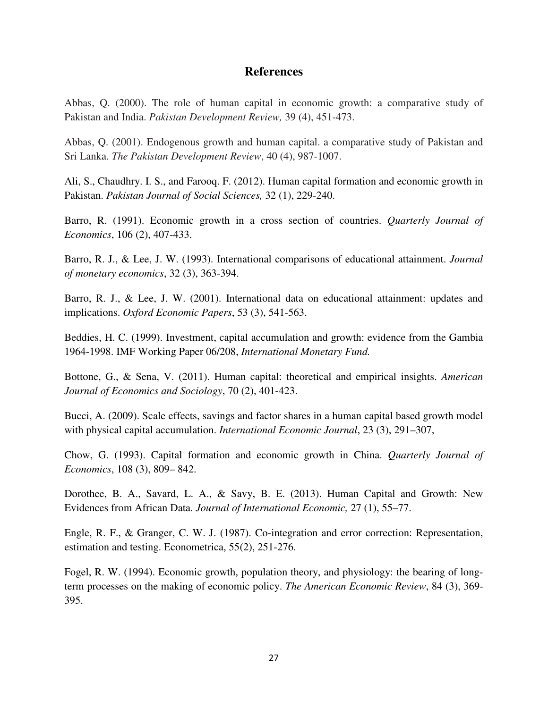# **References**

Abbas, Q. (2000). The role of human capital in economic growth: a comparative study of Pakistan and India. *Pakistan Development Review,* 39 (4), 451-473.

Abbas, Q. (2001). Endogenous growth and human capital. a comparative study of Pakistan and Sri Lanka. *The Pakistan Development Review*, 40 (4), 987-1007.

Ali, S., Chaudhry. I. S., and Farooq. F. (2012). Human capital formation and economic growth in Pakistan. *Pakistan Journal of Social Sciences,* 32 (1), 229-240.

Barro, R. (1991). Economic growth in a cross section of countries. *Quarterly Journal of Economics*, 106 (2), 407-433.

Barro, R. J., & Lee, J. W. (1993). International comparisons of educational attainment. *Journal of monetary economics*, 32 (3), 363-394.

Barro, R. J., & Lee, J. W. (2001). International data on educational attainment: updates and implications. *Oxford Economic Papers*, 53 (3), 541-563.

Beddies, H. C. (1999). Investment, capital accumulation and growth: evidence from the Gambia 1964-1998. IMF Working Paper 06/208, *International Monetary Fund.* 

Bottone, G., & Sena, V. (2011). Human capital: theoretical and empirical insights. *American Journal of Economics and Sociology*, 70 (2), 401-423.

Bucci, A. (2009). Scale effects, savings and factor shares in a human capital based growth model with physical capital accumulation. *International Economic Journal*, 23 (3), 291–307,

Chow, G. (1993). Capital formation and economic growth in China. *Quarterly Journal of Economics*, 108 (3), 809– 842.

Dorothee, B. A., Savard, L. A., & Savy, B. E. (2013). Human Capital and Growth: New Evidences from African Data. *Journal of International Economic,* 27 (1), 55–77.

Engle, R. F., & Granger, C. W. J. (1987). Co-integration and error correction: Representation, estimation and testing. Econometrica, 55(2), 251-276.

Fogel, R. W. (1994). Economic growth, population theory, and physiology: the bearing of longterm processes on the making of economic policy. *The American Economic Review*, 84 (3), 369- 395.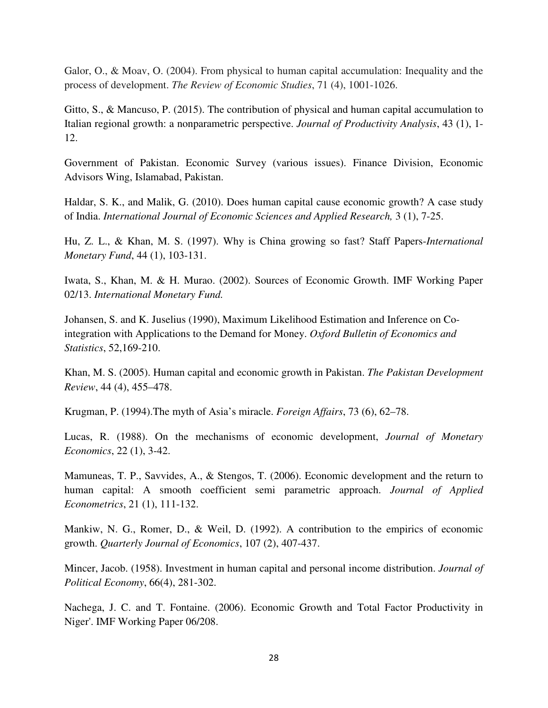Galor, O., & Moav, O. (2004). From physical to human capital accumulation: Inequality and the process of development. *The Review of Economic Studies*, 71 (4), 1001-1026.

Gitto, S., & Mancuso, P. (2015). The contribution of physical and human capital accumulation to Italian regional growth: a nonparametric perspective. *Journal of Productivity Analysis*, 43 (1), 1- 12.

Government of Pakistan. Economic Survey (various issues). Finance Division, Economic Advisors Wing, Islamabad, Pakistan.

Haldar, S. K., and Malik, G. (2010). Does human capital cause economic growth? A case study of India. *International Journal of Economic Sciences and Applied Research,* 3 (1), 7-25.

Hu, Z. L., & Khan, M. S. (1997). Why is China growing so fast? Staff Papers-*International Monetary Fund*, 44 (1), 103-131.

Iwata, S., Khan, M. & H. Murao. (2002). Sources of Economic Growth. IMF Working Paper 02/13. *International Monetary Fund.* 

Johansen, S. and K. Juselius (1990), Maximum Likelihood Estimation and Inference on Cointegration with Applications to the Demand for Money. *Oxford Bulletin of Economics and Statistics*, 52,169-210.

Khan, M. S. (2005). Human capital and economic growth in Pakistan. *The Pakistan Development Review*, 44 (4), 455–478.

Krugman, P. (1994).The myth of Asia's miracle. *Foreign Affairs*, 73 (6), 62–78.

Lucas, R. (1988). On the mechanisms of economic development, *Journal of Monetary Economics*, 22 (1), 3-42.

Mamuneas, T. P., Savvides, A., & Stengos, T. (2006). Economic development and the return to human capital: A smooth coefficient semi parametric approach. *Journal of Applied Econometrics*, 21 (1), 111-132.

Mankiw, N. G., Romer, D., & Weil, D. (1992). A contribution to the empirics of economic growth. *Quarterly Journal of Economics*, 107 (2), 407-437.

Mincer, Jacob. (1958). Investment in human capital and personal income distribution. *Journal of Political Economy*, 66(4), 281-302.

Nachega, J. C. and T. Fontaine. (2006). Economic Growth and Total Factor Productivity in Niger'. IMF Working Paper 06/208.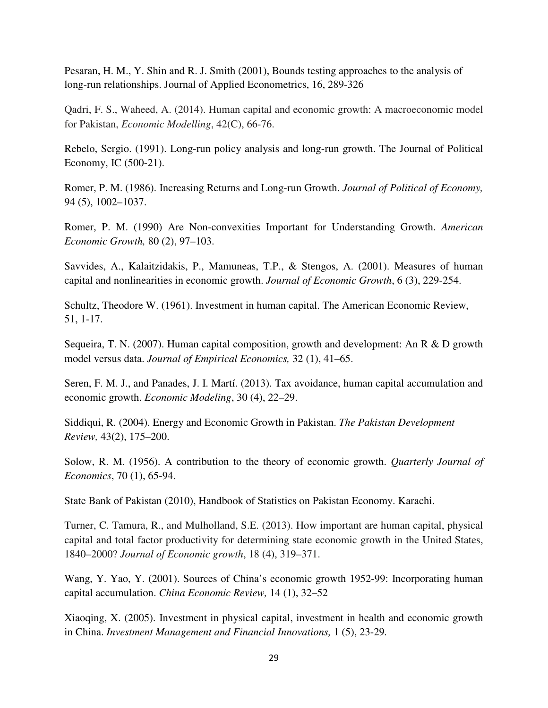Pesaran, H. M., Y. Shin and R. J. Smith (2001), Bounds testing approaches to the analysis of long-run relationships. Journal of Applied Econometrics, 16, 289-326

Qadri, F. S., Waheed, A. (2014). Human capital and economic growth: A macroeconomic model for Pakistan, *Economic Modelling*, 42(C), 66-76.

Rebelo, Sergio. (1991). Long-run policy analysis and long-run growth. The Journal of Political Economy, IC (500-21).

Romer, P. M. (1986). Increasing Returns and Long-run Growth. *Journal of Political of Economy,* 94 (5), 1002–1037.

Romer, P. M. (1990) Are Non-convexities Important for Understanding Growth. *American Economic Growth,* 80 (2), 97–103.

Savvides, A., Kalaitzidakis, P., Mamuneas, T.P., & Stengos, A. (2001). Measures of human capital and nonlinearities in economic growth. *Journal of Economic Growth*, 6 (3), 229-254.

Schultz, Theodore W. (1961). Investment in human capital. The American Economic Review, 51, 1-17.

Sequeira, T. N. (2007). Human capital composition, growth and development: An R & D growth model versus data. *Journal of Empirical Economics,* 32 (1), 41–65.

Seren, F. M. J., and Panades, J. I. Martí. (2013). Tax avoidance, human capital accumulation and economic growth. *Economic Modeling*, 30 (4), 22–29.

Siddiqui, R. (2004). Energy and Economic Growth in Pakistan. *The Pakistan Development Review,* 43(2), 175–200.

Solow, R. M. (1956). A contribution to the theory of economic growth. *Quarterly Journal of Economics*, 70 (1), 65-94.

State Bank of Pakistan (2010), Handbook of Statistics on Pakistan Economy. Karachi.

Turner, C. Tamura, R., and Mulholland, S.E. (2013). How important are human capital, physical capital and total factor productivity for determining state economic growth in the United States, 1840–2000? *Journal of Economic growth*, 18 (4), 319–371.

Wang, Y. Yao, Y. (2001). Sources of China's economic growth 1952-99: Incorporating human capital accumulation. *China Economic Review,* 14 (1), 32–52

Xiaoqing, X. (2005). Investment in physical capital, investment in health and economic growth in China. *Investment Management and Financial Innovations,* 1 (5), 23-29*.*